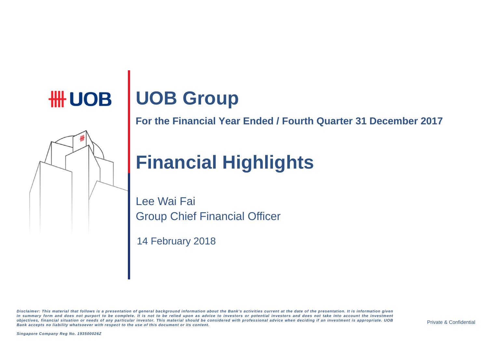# **HH UOB | UOB Group**

**For the Financial Year Ended / Fourth Quarter 31 December 2017** 

# **Financial Highlights**

Lee Wai Fai Group Chief Financial Officer

14 February 2018

Disclaimer: This material that follows is a presentation of general background information about the Bank's activities current at the date of the presentation. It is information given in summary form and does not purport to be complete. It is not to be relied upon as advice to investors or potential investors and does not take into account the investment objectives, financial situation or needs of any particular investor. This material should be considered with professional advice when deciding if an investment is appropriate. UOB Bank accepts no liability whatsoever with respect to the use of this document or its content.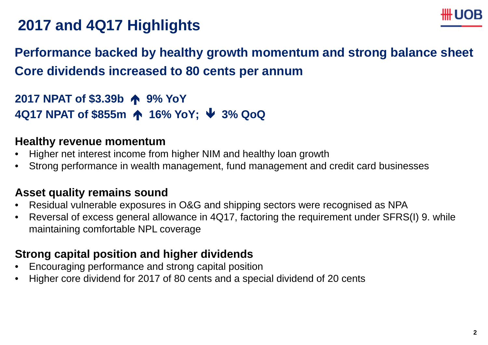

# **2017 and 4Q17 Highlights**

#### **Performance backed by healthy growth momentum and strong balance sheet Core dividends increased to 80 cents per annum**

**2017 NPAT of \$3.39b 9% YoY 4Q17 NPAT of \$855m 16% YoY; 3% QoQ**

#### **Healthy revenue momentum**

- •Higher net interest income from higher NIM and healthy loan growth
- $\bullet$ Strong performance in wealth management, fund management and credit card businesses

#### **Asset quality remains sound**

- $\bullet$ Residual vulnerable exposures in O&G and shipping sectors were recognised as NPA
- $\bullet$  Reversal of excess general allowance in 4Q17, factoring the requirement under SFRS(I) 9. while maintaining comfortable NPL coverage

#### **Strong capital position and higher dividends**

- •Encouraging performance and strong capital position
- $\bullet$ Higher core dividend for 2017 of 80 cents and <sup>a</sup> special dividend of 20 cents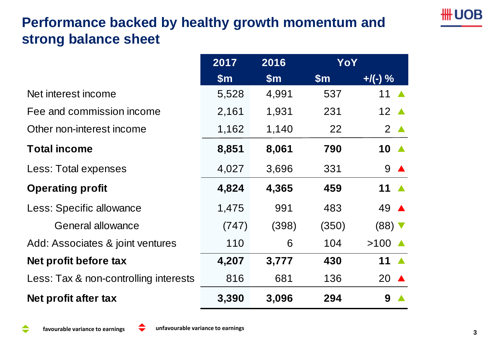## **Performance backed by healthy growth momentum and strong balance sheet**

|                                       | 2017          | 2016          | <b>YoY</b>    |                 |
|---------------------------------------|---------------|---------------|---------------|-----------------|
|                                       | $\mathsf{Sm}$ | $\mathsf{Sm}$ | $\mathsf{Sm}$ | $+$ /(-) %      |
| Net interest income                   | 5,528         | 4,991         | 537           | 11              |
| Fee and commission income             | 2,161         | 1,931         | 231           | 12 $\triangle$  |
| Other non-interest income             | 1,162         | 1,140         | 22            | $2^{\triangle}$ |
| <b>Total income</b>                   | 8,851         | 8,061         | 790           | 10 $\triangle$  |
| Less: Total expenses                  | 4,027         | 3,696         | 331           | 9 A             |
| <b>Operating profit</b>               | 4,824         | 4,365         | 459           | 11 $\triangle$  |
| Less: Specific allowance              | 1,475         | 991           | 483           | 49 ▲            |
| <b>General allowance</b>              | (747)         | (398)         | (350)         | $(88)$ $\nabla$ |
| Add: Associates & joint ventures      | 110           | 6             | 104           | >100            |
| Net profit before tax                 | 4,207         | 3,777         | 430           | 11 $\triangle$  |
| Less: Tax & non-controlling interests | 816           | 681           | 136           | 20 $\triangle$  |
| Net profit after tax                  | 3,390         | 3,096         | 294           | 9               |

**HH UOB**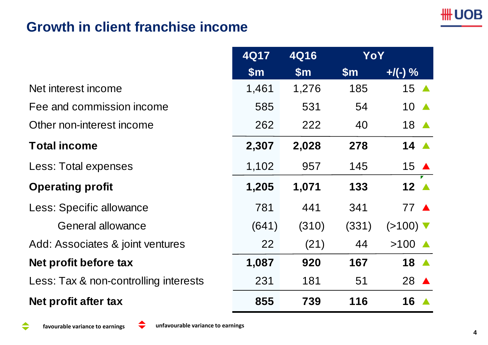#### **Growth in client franchise income**

|                                       | <b>4Q17</b>   | <b>4Q16</b> | YoY           |                               |
|---------------------------------------|---------------|-------------|---------------|-------------------------------|
|                                       | $\mathsf{Sm}$ | \$m\$       | $\mathsf{Sm}$ | $+$ /(-) %                    |
| Net interest income                   | 1,461         | 1,276       | 185           | 15 $\triangle$                |
| Fee and commission income             | 585           | 531         | 54            | $10 \triangle$                |
| Other non-interest income             | 262           | 222         | 40            | 18 ▲                          |
| <b>Total income</b>                   | 2,307         | 2,028       | 278           | 14 $\triangle$                |
| Less: Total expenses                  | 1,102         | 957         | 145           | 15 $\triangle$                |
| <b>Operating profit</b>               | 1,205         | 1,071       | 133           | 12 $\blacktriangle$           |
| Less: Specific allowance              | 781           | 441         | 341           | 77 A                          |
| <b>General allowance</b>              | (641)         | (310)       | (331)         | $(>100)$ $\blacktriangledown$ |
| Add: Associates & joint ventures      | 22            | (21)        | 44            | $>100$ $\triangle$            |
| Net profit before tax                 | 1,087         | 920         | 167           | 18 A                          |
| Less: Tax & non-controlling interests | 231           | 181         | 51            | 28 A                          |
| Net profit after tax                  | 855           | 739         | 116           | 16 $\triangle$                |

**favourable variance to**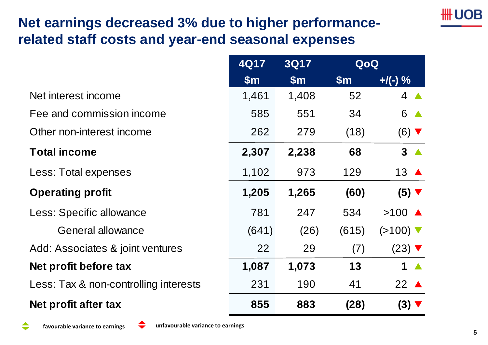#### **Net earnings decreased 3% due to higher performancerelated staff costs and year-end seasonal expenses**

|                                       | 4Q17          | <b>3Q17</b><br>QoQ |                |                               |  |
|---------------------------------------|---------------|--------------------|----------------|-------------------------------|--|
|                                       | $\mathsf{Sm}$ | $\mathsf{Sm}$      | $\mathsf{S}$ m | $+$ /(-) %                    |  |
| Net interest income                   | 1,461         | 1,408              | 52             | $4 \triangle$                 |  |
| Fee and commission income             | 585           | 551                | 34             | 6<br>$\blacktriangle$         |  |
| Other non-interest income             | 262           | 279                | (18)           | $(6)$ $\blacktriangledown$    |  |
| <b>Total income</b>                   | 2,307         | 2,238              | 68             | 3 <sub>A</sub>                |  |
| Less: Total expenses                  | 1,102         | 973                | 129            | 13 $\triangle$                |  |
| <b>Operating profit</b>               | 1,205         | 1,265              | (60)           | $(5)$ $\blacktriangledown$    |  |
| Less: Specific allowance              | 781           | 247                | 534            | $>100$ $\triangle$            |  |
| <b>General allowance</b>              | (641)         | (26)               | (615)          | $(>100)$ $\blacktriangledown$ |  |
| Add: Associates & joint ventures      | 22            | 29                 | (7)            | $(23)$ $\blacktriangledown$   |  |
| Net profit before tax                 | 1,087         | 1,073              | 13             | 1 $\blacktriangle$            |  |
| Less: Tax & non-controlling interests | 231           | 190                | 41             | 22 $\triangle$                |  |
| Net profit after tax                  | 855           | 883                | (28)           | $(3)$ $\blacktriangledown$    |  |

₩UOB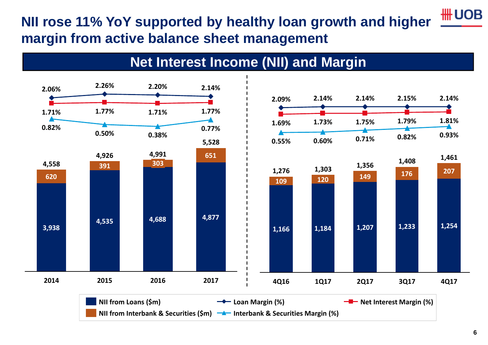#### **NII rose 11% YoY supported by healthy loan growth and higher margin from active balance sheet management**



#### **Net Interest Income (NII) and Margin**

**\HUOB**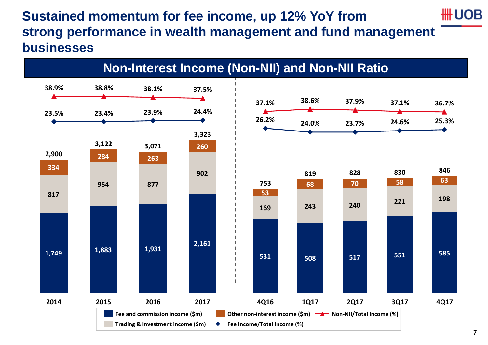#### **Sustained momentum for fee income, up 12% YoY from strong performance in wealth management and fund management businesses**



**HH UOB**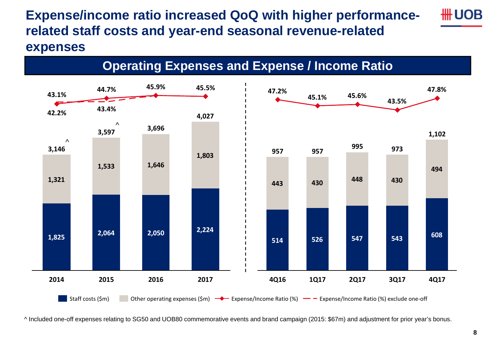#### **Expense/income ratio increased QoQ with higher performancerelated staff costs and year-end seasonal revenue-related expenses**

**Operating Expenses and Expense / Income Ratio**



^ Included one-off expenses relating to SG50 and UOB80 commemorative events and brand campaign (2015: \$67m) and adjustment for prior year's bonus.

#HUOB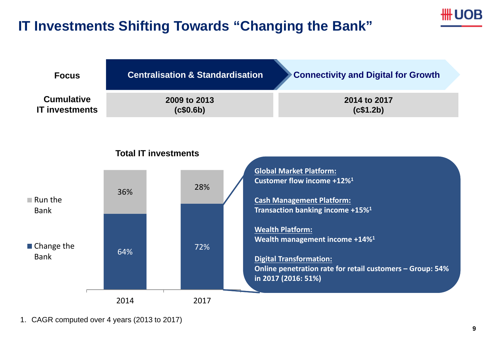#### **IT Investments Shifting Towards "Changing the Bank"**





1. CAGR computed over 4 years (2013 to 2017)

₩ UOB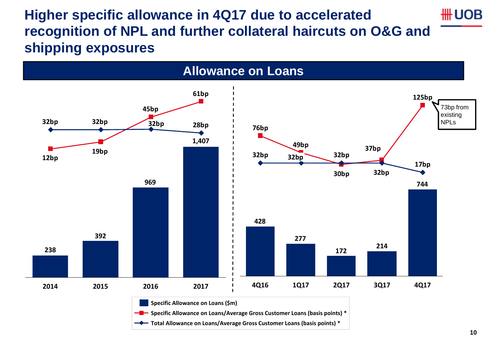**Higher specific allowance in 4Q17 due to accelerated \HHUOB recognition of NPL and further collateral haircuts on O&G and shipping exposures** 



#### **10**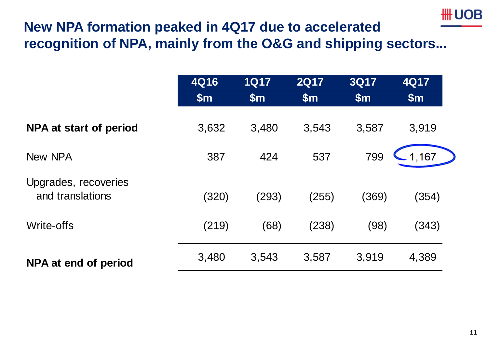### **\HUOB**

#### **New NPA formation peaked in 4Q17 due to accelerated recognition of NPA, mainly from the O&G and shipping sectors...**

|                                          | <b>4Q16</b><br>\$m\$ | <b>1Q17</b><br>$\mathsf{Sm}$ | <b>2Q17</b><br>\$m\$ | <b>3Q17</b><br>$\mathsf{Sm}$ | 4Q17<br>$\mathsf{Sm}$ |
|------------------------------------------|----------------------|------------------------------|----------------------|------------------------------|-----------------------|
| NPA at start of period                   | 3,632                | 3,480                        | 3,543                | 3,587                        | 3,919                 |
| New NPA                                  | 387                  | 424                          | 537                  | 799                          | 1,167                 |
| Upgrades, recoveries<br>and translations | (320)                | (293)                        | (255)                | (369)                        | (354)                 |
| Write-offs                               | (219)                | (68)                         | (238)                | (98)                         | (343)                 |
| NPA at end of period                     | 3,480                | 3,543                        | 3,587                | 3,919                        | 4,389                 |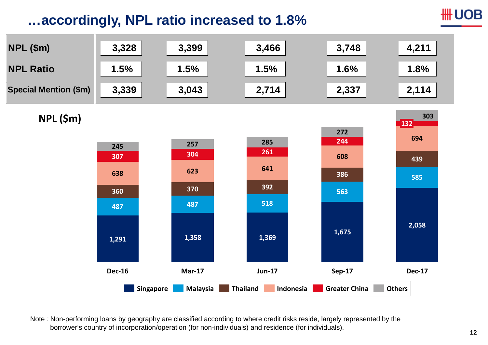#### **…accordingly, NPL ratio increased to 1.8%**

**\HHUOB** 



Note *:* Non-performing loans by geography are classified according to where credit risks reside, largely represented by the borrower's country of incorporation/operation (for non-individuals) and residence (for individuals).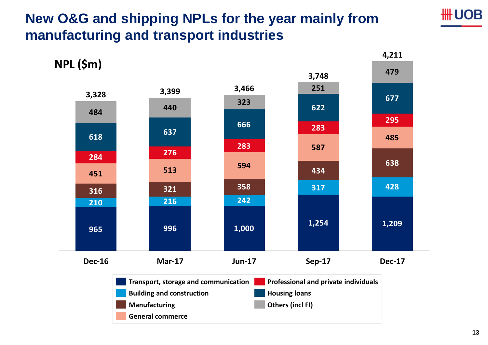#### **New O&G and shipping NPLs for the year mainly from manufacturing and transport industries**



∰UOB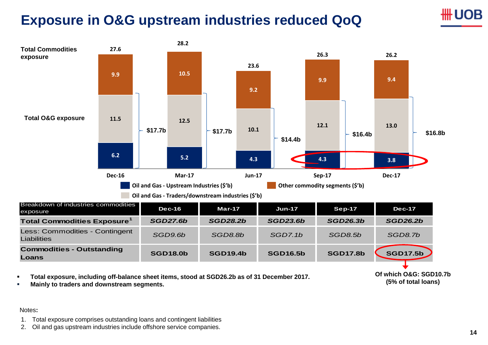#### **Exposure in O&G upstream industries reduced QoQ**



г **Mainly to traders and downstream segments.**

#### Notes**:**

- 1. Total exposure comprises outstanding loans and contingent liabilities
- 2. Oil and gas upstream industries include offshore service companies.

)R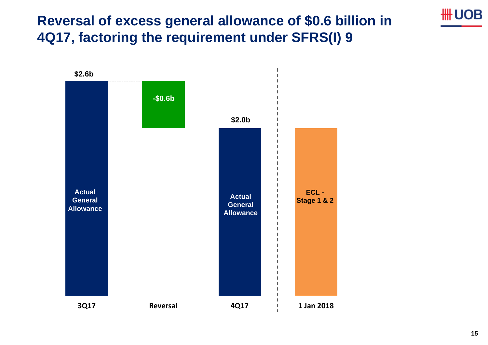#### **Reversal of excess general allowance of \$0.6 billion in 4Q17, factoring the requirement under SFRS(I) 9**



**\UOB**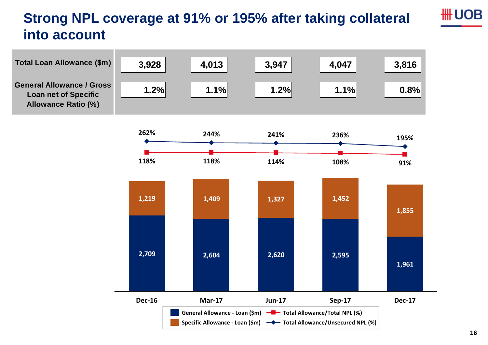#### **Strong NPL coverage at 91% or 195% after taking collateral into account**





**\UOB**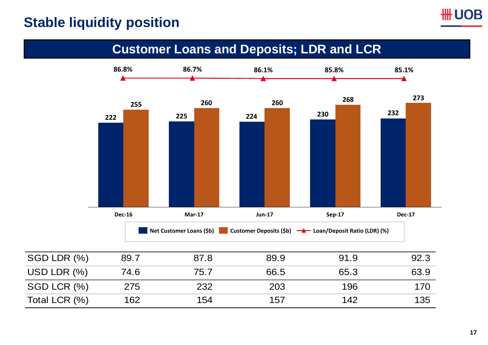#### **Stable liquidity position**

#### **Customer Loans and Deposits; LDR and LCR**



| USD LDR $(\%)$ | 74.6 | 75.7 | 66.5 | 65.3 | 63.9 |
|----------------|------|------|------|------|------|
| SGD LCR (%)    | 275  | 232  | 203  | 196  | 170  |
| Total LCR (%)  | 162  | 154  | 157  | 142  | 135  |

**UOB**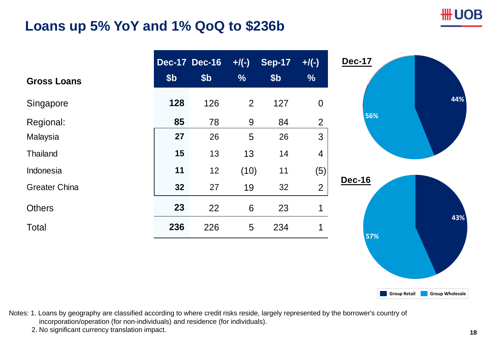#### **Loans up 5% YoY and 1% QoQ to \$236b**

|                      |                 | <b>Dec-17 Dec-16</b> | $+$ /(-)        | <b>Sep-17</b>   | $+$ /(-)         |
|----------------------|-----------------|----------------------|-----------------|-----------------|------------------|
| <b>Gross Loans</b>   | \$ <sub>b</sub> | \$ <sub>b</sub>      | $\frac{0}{0}$   | \$ <sub>b</sub> | $\frac{9}{6}$    |
| Singapore            | 128             | 126                  | $\overline{2}$  | 127             | $\boldsymbol{0}$ |
| Regional:            | 85              | 78                   | 9               | 84              | $\overline{2}$   |
| Malaysia             | 27              | 26                   | 5               | 26              | $\mathfrak{S}$   |
| Thailand             | 15              | 13                   | 13              | 14              | $\overline{4}$   |
| Indonesia            | 11              | 12                   | (10)            | 11              | (5)              |
| <b>Greater China</b> | 32              | 27                   | 19              | 32              | $\overline{2}$   |
| <b>Others</b>        | 23              | 22                   | $6\phantom{1}6$ | 23              | $\mathbf 1$      |
| Total                | 236             | 226                  | $5\phantom{.0}$ | 234             | 1                |
|                      |                 |                      |                 |                 |                  |
|                      |                 |                      |                 |                 |                  |
|                      |                 |                      |                 |                 |                  |
|                      |                 |                      |                 |                 |                  |

Notes: 1. Loans by geography are classified according to where credit risks reside, largely represented by the borrower's country of incorporation/operation (for non-individuals) and residence (for individuals).

2. No significant currency translation impact. **<sup>18</sup>**

∰UOB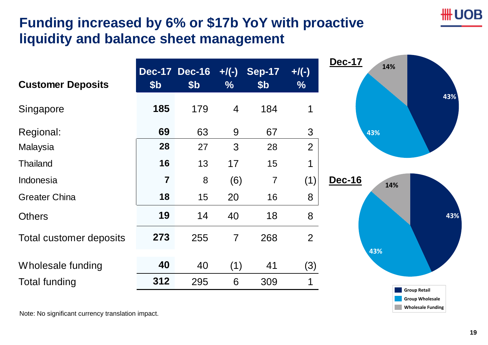#### **Funding increased by 6% or \$17b YoY with proactive liquidity and balance sheet management**

| <b>Customer Deposits</b> | \$ <sub>b</sub> | <b>Dec-17 Dec-16</b><br>\$ <sub>b</sub> | $+$ /(-)<br>$\frac{9}{6}$ | <b>Sep-17</b><br>\$b | $+$ /(-)<br>$\frac{9}{6}$ | <b>Dec-17</b><br>14% |
|--------------------------|-----------------|-----------------------------------------|---------------------------|----------------------|---------------------------|----------------------|
| Singapore                | 185             | 179                                     | 4                         | 184                  | 1                         |                      |
| Regional:                | 69              | 63                                      | 9                         | 67                   | 3                         | 43%                  |
| Malaysia                 | 28              | 27                                      | 3                         | 28                   | $\overline{2}$            |                      |
| <b>Thailand</b>          | 16              | 13                                      | 17                        | 15                   | 4                         |                      |
| Indonesia                | $\overline{7}$  | 8                                       | (6)                       | $\overline{7}$       | (1)                       | Dec-16<br>14%        |
| <b>Greater China</b>     | 18              | 15                                      | 20                        | 16                   | 8                         |                      |
| <b>Others</b>            | 19              | 14                                      | 40                        | 18                   | 8                         |                      |
| Total customer deposits  | 273             | 255                                     | $\overline{7}$            | 268                  | $\overline{2}$            | 43%                  |
| Wholesale funding        | 40              | 40                                      | (1)                       | 41                   | (3)                       |                      |
| <b>Total funding</b>     | 312             | 295                                     | 6                         | 309                  | 1                         | Group Retail         |

Note: No significant currency translation impact.

∰ UOB

**Wholesale Funding Group Wholesale**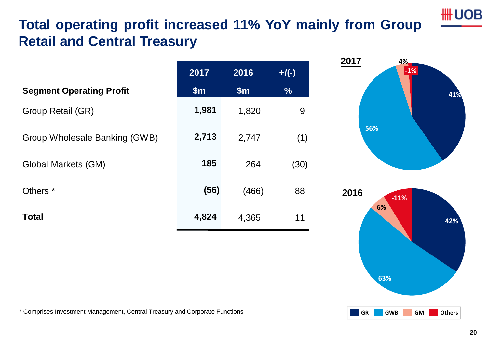## **Total operating profit increased 11% YoY mainly from Group Retail and Central Treasury**

|                                 | 2017  | 2016  | $+$ /(-)      |
|---------------------------------|-------|-------|---------------|
| <b>Segment Operating Profit</b> | \$m\$ | \$m\$ | $\frac{0}{6}$ |
| Group Retail (GR)               | 1,981 | 1,820 | 9             |
| Group Wholesale Banking (GWB)   | 2,713 | 2,747 | (1)           |
| <b>Global Markets (GM)</b>      | 185   | 264   | (30)          |
| Others <sup>*</sup>             | (56)  | (466) | 88            |
| <b>Total</b>                    | 4,824 | 4,365 | 11            |
|                                 |       |       |               |



\* Comprises Investment Management, Central Treasury and Corporate Functions

**41%**

**\UOB**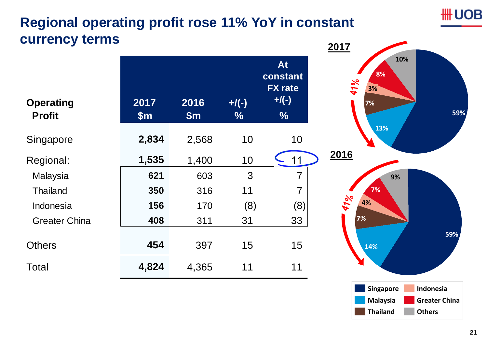#### **Regional operating profit rose 11% YoY in constant currency terms**

| <b>Operating</b><br><b>Profit</b> | 2017<br>\$m\$ | 2016<br>\$m\$ | $+$ /(-)<br>$\%$ | At<br>constant<br><b>FX</b> rate<br>$+$ /(-)<br>$\frac{0}{0}$ |
|-----------------------------------|---------------|---------------|------------------|---------------------------------------------------------------|
| Singapore                         | 2,834         | 2,568         | 10               | 10                                                            |
| Regional:                         | 1,535         | 1,400         | 10               | 11                                                            |
| Malaysia                          | 621           | 603           | 3                | $\overline{7}$                                                |
| <b>Thailand</b>                   | 350           | 316           | 11               | 7                                                             |
| Indonesia                         | 156           | 170           | (8)              | (8)                                                           |
| <b>Greater China</b>              | 408           | 311           | 31               | 33                                                            |
| Others                            | 454           | 397           | 15               | 15                                                            |
| Total                             | 4,824         | 4,365         | 11               | 11                                                            |



**HH UOB**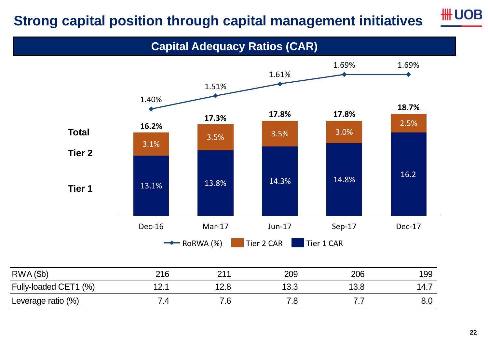# **Strong capital position through capital management initiatives**



#### **Capital Adequacy Ratios (CAR)**

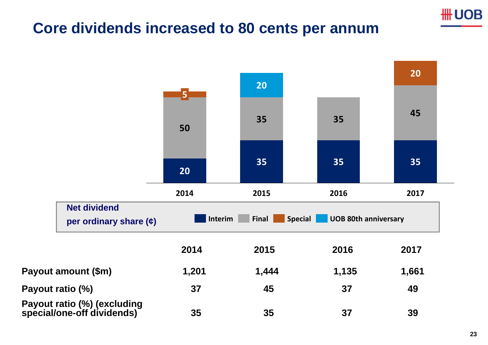

#### **Core dividends increased to 80 cents per annum**

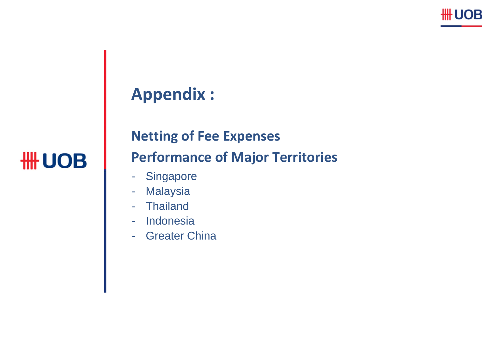

# **Appendix :**

# **HH UOB**

# **Netting of Fee Expenses Performance of Major Territories**

- -**Singapore**
- -Malaysia
- -Thailand
- -**Indonesia**
- -Greater China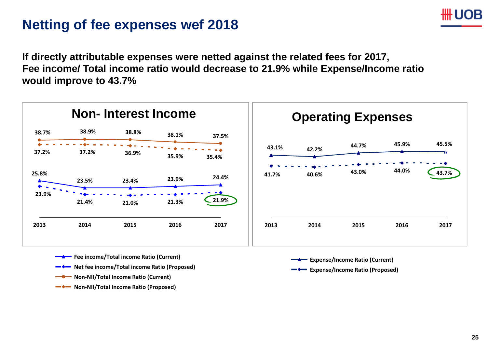#### **Netting of fee expenses wef 2018**

**If directly attributable expenses were netted against the related fees for 2017, Fee income/ Total income ratio would decrease to 21.9% while Expense/Income ratio would improve to 43.7%**



- **Fee income/Total income Ratio (Current)**
- $\qquad \qquad \bullet$ **Net fee income/Total income Ratio (Proposed)**
- **Non‐NII/Total Income Ratio (Current)**
- **Non‐NII/Total Income Ratio (Proposed)**
- **Expense/Income Ratio (Current)**
- **Expense/Income Ratio (Proposed)**

JВ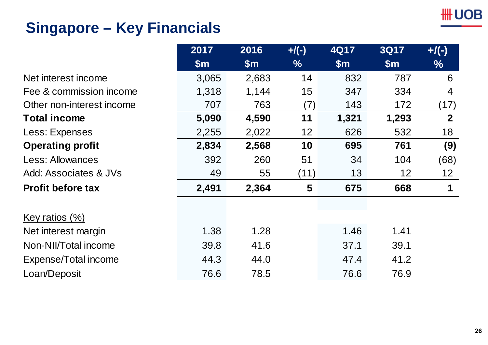# **Singapore – Key Financials**

|                           | 2017  | 2016  | $+$ /(-)      | $4$ Q17 | <b>3Q17</b> | $+$ /(-)          |
|---------------------------|-------|-------|---------------|---------|-------------|-------------------|
|                           | \$m\$ | \$m\$ | $\frac{9}{6}$ | \$m\$   | \$m\$       | $\%$              |
| Net interest income       | 3,065 | 2,683 | 14            | 832     | 787         | 6                 |
| Fee & commission income   | 1,318 | 1,144 | 15            | 347     | 334         | 4                 |
| Other non-interest income | 707   | 763   | (7)           | 143     | 172         | (17)              |
| <b>Total income</b>       | 5,090 | 4,590 | 11            | 1,321   | 1,293       | $\mathbf{2}$      |
| Less: Expenses            | 2,255 | 2,022 | 12            | 626     | 532         | 18                |
| <b>Operating profit</b>   | 2,834 | 2,568 | 10            | 695     | 761         | (9)               |
| <b>Less: Allowances</b>   | 392   | 260   | 51            | 34      | 104         | (68)              |
| Add: Associates & JVs     | 49    | 55    | (11)          | 13      | 12          | $12 \overline{ }$ |
| <b>Profit before tax</b>  | 2,491 | 2,364 | 5             | 675     | 668         | 1                 |
| Key ratios $(\%)$         |       |       |               |         |             |                   |
| Net interest margin       | 1.38  | 1.28  |               | 1.46    | 1.41        |                   |
| Non-NII/Total income      | 39.8  | 41.6  |               | 37.1    | 39.1        |                   |
| Expense/Total income      | 44.3  | 44.0  |               | 47.4    | 41.2        |                   |
| Loan/Deposit              | 76.6  | 78.5  |               | 76.6    | 76.9        |                   |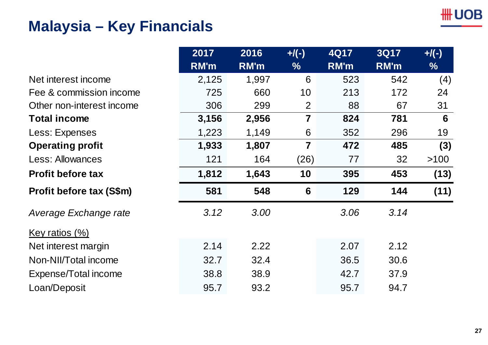# **Malaysia – Key Financials**

|                           | 2017<br><b>RM'm</b> | 2016<br>RM'm | $+$ /(-)<br>$\%$ | <b>4Q17</b><br>RM'm | <b>3Q17</b><br>RM'm | $+$ /(-)<br>$\%$ |
|---------------------------|---------------------|--------------|------------------|---------------------|---------------------|------------------|
| Net interest income       | 2,125               | 1,997        | 6                | 523                 | 542                 | (4)              |
| Fee & commission income   | 725                 | 660          | 10               | 213                 | 172                 | 24               |
| Other non-interest income | 306                 | 299          | 2                | 88                  | 67                  | 31               |
| <b>Total income</b>       | 3,156               | 2,956        | 7                | 824                 | 781                 | 6                |
| Less: Expenses            | 1,223               | 1,149        | 6                | 352                 | 296                 | 19               |
| <b>Operating profit</b>   | 1,933               | 1,807        | $\overline{7}$   | 472                 | 485                 | (3)              |
| <b>Less: Allowances</b>   | 121                 | 164          | (26)             | 77                  | 32                  | $>100$           |
| <b>Profit before tax</b>  | 1,812               | 1,643        | 10               | 395                 | 453                 | (13)             |
| Profit before tax (S\$m)  | 581                 | 548          | $6\phantom{1}6$  | 129                 | 144                 | (11)             |
| Average Exchange rate     | 3.12                | 3.00         |                  | 3.06                | 3.14                |                  |
| Key ratios $(\%)$         |                     |              |                  |                     |                     |                  |
| Net interest margin       | 2.14                | 2.22         |                  | 2.07                | 2.12                |                  |
| Non-NII/Total income      | 32.7                | 32.4         |                  | 36.5                | 30.6                |                  |
| Expense/Total income      | 38.8                | 38.9         |                  | 42.7                | 37.9                |                  |
| Loan/Deposit              | 95.7                | 93.2         |                  | 95.7                | 94.7                |                  |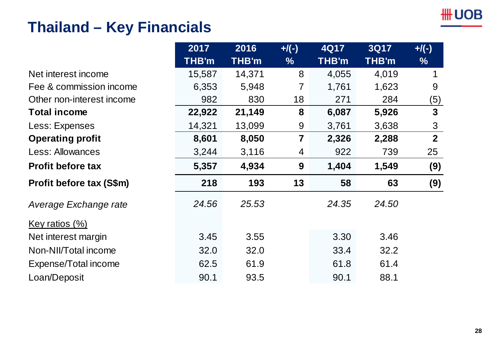# **Thailand – Key Financials**

|                           | 2017   | 2016         | $+$ /(-)                | 4Q17         | <b>3Q17</b> | $+$ /(-)       |
|---------------------------|--------|--------------|-------------------------|--------------|-------------|----------------|
|                           | THB'm  | <b>THB'm</b> | $\%$                    | <b>THB'm</b> | THB'm       | $\frac{9}{6}$  |
| Net interest income       | 15,587 | 14,371       | 8                       | 4,055        | 4,019       |                |
| Fee & commission income   | 6,353  | 5,948        |                         | 1,761        | 1,623       | 9              |
| Other non-interest income | 982    | 830          | 18                      | 271          | 284         | (5)            |
| <b>Total income</b>       | 22,922 | 21,149       | 8                       | 6,087        | 5,926       | $\mathbf{3}$   |
| Less: Expenses            | 14,321 | 13,099       | 9                       | 3,761        | 3,638       | $\mathfrak{S}$ |
| <b>Operating profit</b>   | 8,601  | 8,050        | $\overline{\mathbf{7}}$ | 2,326        | 2,288       | 2 <sup>2</sup> |
| <b>Less: Allowances</b>   | 3,244  | 3,116        | 4                       | 922          | 739         | 25             |
| <b>Profit before tax</b>  | 5,357  | 4,934        | 9                       | 1,404        | 1,549       | (9)            |
| Profit before tax (S\$m)  | 218    | 193          | 13                      | 58           | 63          | (9)            |
| Average Exchange rate     | 24.56  | 25.53        |                         | 24.35        | 24.50       |                |
| <u>Key ratios (%)</u>     |        |              |                         |              |             |                |
| Net interest margin       | 3.45   | 3.55         |                         | 3.30         | 3.46        |                |
| Non-NII/Total income      | 32.0   | 32.0         |                         | 33.4         | 32.2        |                |
| Expense/Total income      | 62.5   | 61.9         |                         | 61.8         | 61.4        |                |
| Loan/Deposit              | 90.1   | 93.5         |                         | 90.1         | 88.1        |                |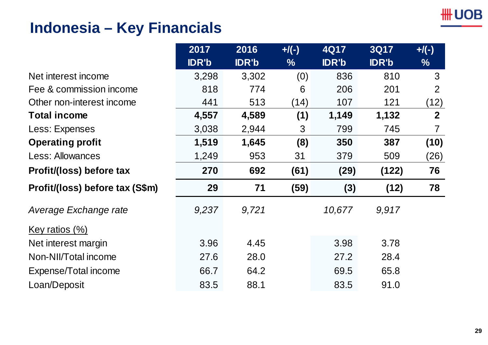# **Indonesia – Key Financials**

|                                 | 2017         | 2016         | $+$ /(-)      | 4Q17         | <b>3Q17</b>  | $+$ /(-)       |
|---------------------------------|--------------|--------------|---------------|--------------|--------------|----------------|
|                                 | <b>IDR'b</b> | <b>IDR'b</b> | $\frac{0}{0}$ | <b>IDR'b</b> | <b>IDR'b</b> | $\frac{0}{0}$  |
| Net interest income             | 3,298        | 3,302        | (0)           | 836          | 810          | 3              |
| Fee & commission income         | 818          | 774          | 6             | 206          | 201          | 2              |
| Other non-interest income       | 441          | 513          | (14)          | 107          | 121          | (12)           |
| <b>Total income</b>             | 4,557        | 4,589        | (1)           | 1,149        | 1,132        | $\mathbf{2}$   |
| Less: Expenses                  | 3,038        | 2,944        | 3             | 799          | 745          | $\overline{7}$ |
| <b>Operating profit</b>         | 1,519        | 1,645        | (8)           | 350          | 387          | (10)           |
| <b>Less: Allowances</b>         | 1,249        | 953          | 31            | 379          | 509          | (26)           |
| Profit/(loss) before tax        | 270          | 692          | (61)          | (29)         | (122)        | 76             |
| Profit/(loss) before tax (S\$m) | 29           | 71           | (59)          | (3)          | (12)         | 78             |
| Average Exchange rate           | 9,237        | 9,721        |               | 10,677       | 9,917        |                |
| <u>Key ratios (%)</u>           |              |              |               |              |              |                |
| Net interest margin             | 3.96         | 4.45         |               | 3.98         | 3.78         |                |
| Non-NII/Total income            | 27.6         | 28.0         |               | 27.2         | 28.4         |                |
| Expense/Total income            | 66.7         | 64.2         |               | 69.5         | 65.8         |                |
| Loan/Deposit                    | 83.5         | 88.1         |               | 83.5         | 91.0         |                |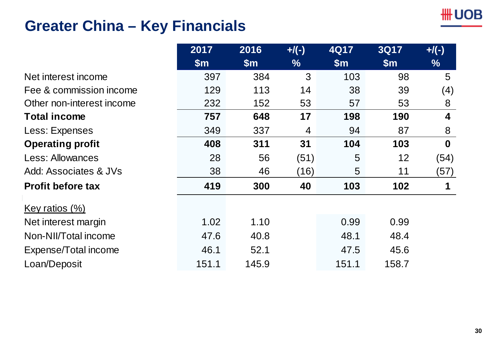# **Greater China – Key Financials**

|                           | 2017  | 2016  | $+$ /(-) | 4Q17  | <b>3Q17</b> | $+$ /(-)    |
|---------------------------|-------|-------|----------|-------|-------------|-------------|
|                           | \$m\$ | \$m\$ | $\%$     | \$m\$ | \$m\$       | $\%$        |
| Net interest income       | 397   | 384   | 3        | 103   | 98          | 5           |
| Fee & commission income   | 129   | 113   | 14       | 38    | 39          | (4)         |
| Other non-interest income | 232   | 152   | 53       | 57    | 53          | 8           |
| <b>Total income</b>       | 757   | 648   | 17       | 198   | 190         | 4           |
| Less: Expenses            | 349   | 337   | 4        | 94    | 87          | 8           |
| <b>Operating profit</b>   | 408   | 311   | 31       | 104   | 103         | $\mathbf 0$ |
| <b>Less: Allowances</b>   | 28    | 56    | (51)     | 5     | 12          | (54)        |
| Add: Associates & JVs     | 38    | 46    | (16)     | 5     | 11          | (57)        |
| <b>Profit before tax</b>  | 419   | 300   | 40       | 103   | 102         | 1           |
| Key ratios $(\%)$         |       |       |          |       |             |             |
| Net interest margin       | 1.02  | 1.10  |          | 0.99  | 0.99        |             |
| Non-NII/Total income      | 47.6  | 40.8  |          | 48.1  | 48.4        |             |
| Expense/Total income      | 46.1  | 52.1  |          | 47.5  | 45.6        |             |
| Loan/Deposit              | 151.1 | 145.9 |          | 151.1 | 158.7       |             |